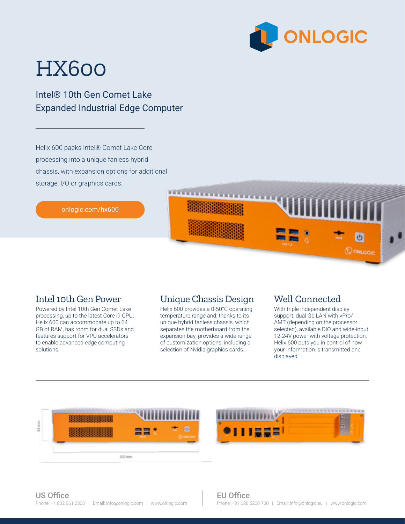

# HX600

Intel® 10th Gen Comet Lake Expanded Industrial Edge Computer

Helix 600 packs Intel® Comet Lake Core processing into a unique fanless hybrid chassis, with expansion options for additional storage, I/O or graphics cards.

[onlogic.com/hx600](http://onlogic.com/ml100g-40) 

#### Intel 10th Gen Power

Powered by Intel 10th Gen Comet Lake processing, up to the latest Core i9 CPU, Helix 600 can accommodate up to 64 GB of RAM, has room for dual SSDs and features support for VPU accelerators to enable advanced edge computing solutions.

#### Unique Chassis Design

**CERTIFICA** 

Helix 600 provides a 0-50°C operating temperature range and, thanks to its unique hybrid fanless chassis, which separates the motherboard from the expansion bay, provides a wide range of customization options, including a selection of Nvidia graphics cards.

#### Well Connected

With triple independent display support, dual Gb LAN with vPro/ AMT (depending on the processor selected), available DIO and wide-input 12-24V power with voltage protection, Helix 600 puts you in control of how your information is transmitted and displayed.

**Q** ONLOGIC

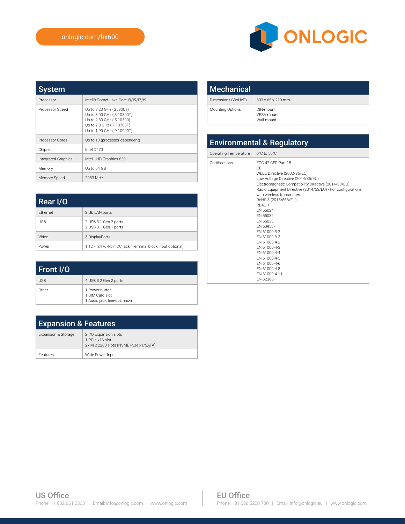

| <b>System</b>              |                                                                                                                                               |
|----------------------------|-----------------------------------------------------------------------------------------------------------------------------------------------|
| Processor                  | Intel® Comet Lake Core i3/i5/i7/i9                                                                                                            |
| Processor Speed            | Up to 3.20 GHz (G5900T)<br>Up to 3.00 GHz (i3-10300T)<br>Up to 2.30 GHz (i5-10500)<br>Up to 2.0 GHz (i7-10700T)<br>Up to 1.90 GHz (i9-10900T) |
| Processor Cores            | Up to 10 (processor dependent)                                                                                                                |
| Chipset                    | Intel 0470                                                                                                                                    |
| <b>Integrated Graphics</b> | Intel UHD Graphics 630                                                                                                                        |
| Memory                     | Up to 64 GB                                                                                                                                   |
| Memory Speed               | 2933 MHz                                                                                                                                      |

| Rear I/O        |                                                            |
|-----------------|------------------------------------------------------------|
| <b>Fthernet</b> | 2 Gb LAN ports                                             |
| <b>USB</b>      | 2 USB 3.1 Gen 2 ports<br>2 USB 3.1 Gen 1 ports             |
| Video           | 3 DisplayPorts                                             |
| Power           | 1 12 ~ 24 V, 4-pin DC jack (Terminal block input optional) |

| Front I/O  |                                                                     |
|------------|---------------------------------------------------------------------|
| <b>USB</b> | 4 USB 3.2 Gen 2 ports                                               |
| Other      | 1 Power button<br>1 SIM Card slot<br>1 Audio jack; line-out, mic-in |

| <b>Expansion &amp; Features</b> |                                                                                   |  |
|---------------------------------|-----------------------------------------------------------------------------------|--|
| Expansion & Storage             | 2 I/O Expansion slots<br>1 PCIe x16 slot<br>2x M.2 2280 slots (NVME PCIe x1/SATA) |  |
| Features                        | Wide Power Input                                                                  |  |

| <b>Mechanical</b>  |                                       |
|--------------------|---------------------------------------|
| Dimensions (WxHxD) | $303 \times 65 \times 210$ mm         |
| Mounting Options   | DIN-mount<br>VFSA-mount<br>Wall-mount |

### Environmental & Regulatory

| Operating Temperature | $0^{\circ}$ C to $50^{\circ}$ C                                                                                                                                                                                                                                                                                                                                                                                                                                                                             |
|-----------------------|-------------------------------------------------------------------------------------------------------------------------------------------------------------------------------------------------------------------------------------------------------------------------------------------------------------------------------------------------------------------------------------------------------------------------------------------------------------------------------------------------------------|
| Certifications        | FCC 47 CFR Part 15<br>CF<br>WEEE Directive (2002/96/EC)<br>Low Voltage Directive (2014/35/EU)<br>Electromagnetic Compatibility Directive (2014/30/EU)<br>Radio Equipment Directive (2014/53/EU) - For configurations<br>with wireless transmitters<br>RoHS 3 (2015/863/EU)<br><b>RFACH</b><br>FN 55024<br>FN 55032<br>FN 55035<br>FN 60950-1<br>FN 61000-3-2<br>FN 61000-3-3<br>FN 61000-4-2<br>FN 61000-4-3<br>FN 61000-4-4<br>FN 61000-4-5<br>FN 61000-4-6<br>FN 61000-4-8<br>FN 61000-4-11<br>FN 62368-1 |